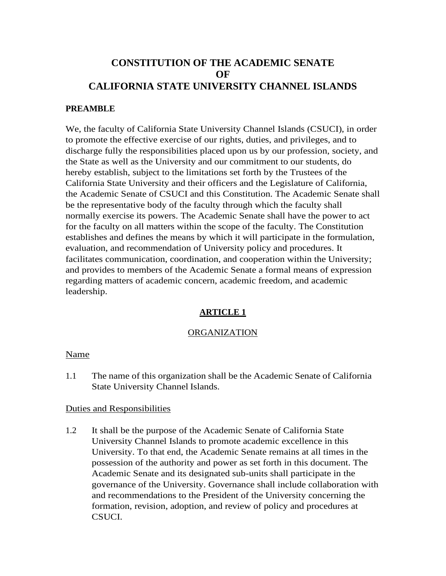# **CONSTITUTION OF THE ACADEMIC SENATE OF CALIFORNIA STATE UNIVERSITY CHANNEL ISLANDS**

### **PREAMBLE**

We, the faculty of California State University Channel Islands (CSUCI), in order to promote the effective exercise of our rights, duties, and privileges, and to discharge fully the responsibilities placed upon us by our profession, society, and the State as well as the University and our commitment to our students, do hereby establish, subject to the limitations set forth by the Trustees of the California State University and their officers and the Legislature of California, the Academic Senate of CSUCI and this Constitution. The Academic Senate shall be the representative body of the faculty through which the faculty shall normally exercise its powers. The Academic Senate shall have the power to act for the faculty on all matters within the scope of the faculty. The Constitution establishes and defines the means by which it will participate in the formulation, evaluation, and recommendation of University policy and procedures. It facilitates communication, coordination, and cooperation within the University; and provides to members of the Academic Senate a formal means of expression regarding matters of academic concern, academic freedom, and academic leadership.

# **ARTICLE 1**

#### ORGANIZATION

#### Name

1.1 The name of this organization shall be the Academic Senate of California State University Channel Islands.

#### Duties and Responsibilities

1.2 It shall be the purpose of the Academic Senate of California State University Channel Islands to promote academic excellence in this University. To that end, the Academic Senate remains at all times in the possession of the authority and power as set forth in this document. The Academic Senate and its designated sub-units shall participate in the governance of the University. Governance shall include collaboration with and recommendations to the President of the University concerning the formation, revision, adoption, and review of policy and procedures at CSUCI.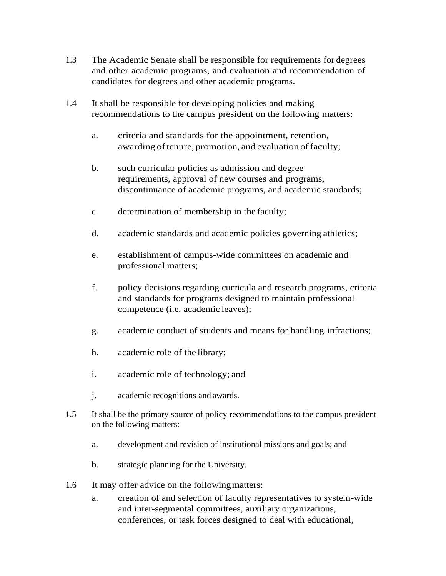- 1.3 The Academic Senate shall be responsible for requirements for degrees and other academic programs, and evaluation and recommendation of candidates for degrees and other academic programs.
- 1.4 It shall be responsible for developing policies and making recommendations to the campus president on the following matters:
	- a. criteria and standards for the appointment, retention, awarding of tenure, promotion, and evaluation of faculty;
	- b. such curricular policies as admission and degree requirements, approval of new courses and programs, discontinuance of academic programs, and academic standards;
	- c. determination of membership in the faculty;
	- d. academic standards and academic policies governing athletics;
	- e. establishment of campus-wide committees on academic and professional matters;
	- f. policy decisions regarding curricula and research programs, criteria and standards for programs designed to maintain professional competence (i.e. academic leaves);
	- g. academic conduct of students and means for handling infractions;
	- h. academic role of the library;
	- i. academic role of technology; and
	- j. academic recognitions and awards.
- 1.5 It shall be the primary source of policy recommendations to the campus president on the following matters:
	- a. development and revision of institutional missions and goals; and
	- b. strategic planning for the University.
- 1.6 It may offer advice on the following matters:
	- a. creation of and selection of faculty representatives to system-wide and inter-segmental committees, auxiliary organizations, conferences, or task forces designed to deal with educational,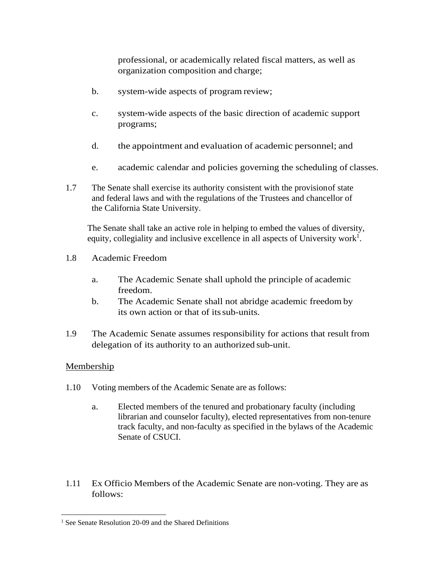professional, or academically related fiscal matters, as well as organization composition and charge;

- b. system-wide aspects of program review;
- c. system-wide aspects of the basic direction of academic support programs;
- d. the appointment and evaluation of academic personnel; and
- e. academic calendar and policies governing the scheduling of classes.
- 1.7 The Senate shall exercise its authority consistent with the provisionof state and federal laws and with the regulations of the Trustees and chancellor of the California State University.

The Senate shall take an active role in helping to embed the values of diversity, equity, collegiality and inclusive excellence in all aspects of University work<sup>1</sup>.

- 1.8 Academic Freedom
	- a. The Academic Senate shall uphold the principle of academic freedom.
	- b. The Academic Senate shall not abridge academic freedom by its own action or that of itssub-units.
- 1.9 The Academic Senate assumes responsibility for actions that result from delegation of its authority to an authorized sub-unit.

### Membership

- 1.10 Voting members of the Academic Senate are as follows:
	- a. Elected members of the tenured and probationary faculty (including librarian and counselor faculty), elected representatives from non-tenure track faculty, and non-faculty as specified in the bylaws of the Academic Senate of CSUCI.
- 1.11 Ex Officio Members of the Academic Senate are non-voting. They are as follows:

<sup>&</sup>lt;sup>1</sup> See Senate Resolution 20-09 and the Shared Definitions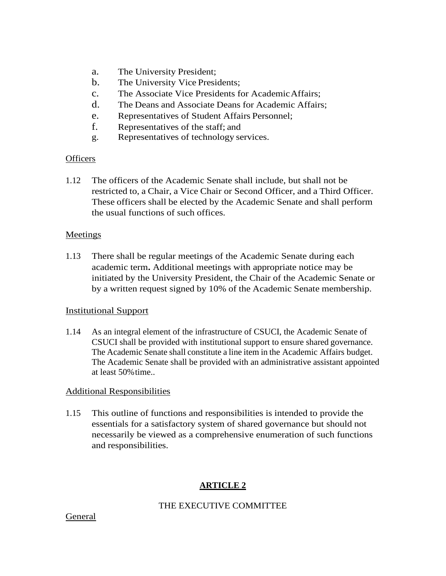- a. The University President;
- b. The University Vice Presidents;
- c. The Associate Vice Presidents for AcademicAffairs;
- d. The Deans and Associate Deans for Academic Affairs;
- e. Representatives of Student Affairs Personnel;
- f. Representatives of the staff; and
- g. Representatives of technology services.

## **Officers**

1.12 The officers of the Academic Senate shall include, but shall not be restricted to, a Chair, a Vice Chair or Second Officer, and a Third Officer. These officers shall be elected by the Academic Senate and shall perform the usual functions of such offices.

## Meetings

1.13 There shall be regular meetings of the Academic Senate during each academic term**.** Additional meetings with appropriate notice may be initiated by the University President, the Chair of the Academic Senate or by a written request signed by 10% of the Academic Senate membership.

# Institutional Support

1.14 As an integral element of the infrastructure of CSUCI, the Academic Senate of CSUCI shall be provided with institutional support to ensure shared governance. The Academic Senate shall constitute a line item in the Academic Affairs budget. The Academic Senate shall be provided with an administrative assistant appointed at least 50%time..

# Additional Responsibilities

1.15 This outline of functions and responsibilities is intended to provide the essentials for a satisfactory system of shared governance but should not necessarily be viewed as a comprehensive enumeration of such functions and responsibilities.

# **ARTICLE 2**

# THE EXECUTIVE COMMITTEE

### **General**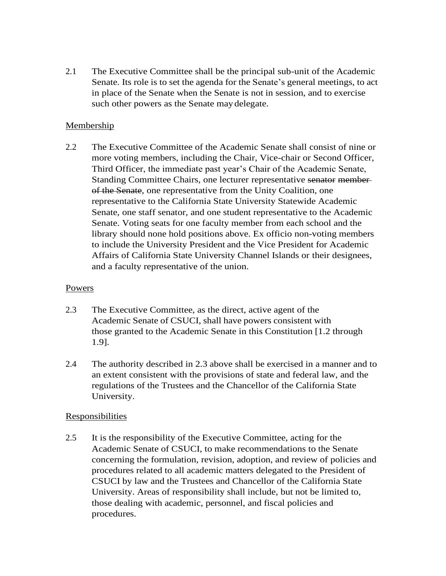2.1 The Executive Committee shall be the principal sub-unit of the Academic Senate. Its role is to set the agenda for the Senate's general meetings, to act in place of the Senate when the Senate is not in session, and to exercise such other powers as the Senate may delegate.

### Membership

2.2 The Executive Committee of the Academic Senate shall consist of nine or more voting members, including the Chair, Vice-chair or Second Officer, Third Officer, the immediate past year's Chair of the Academic Senate, Standing Committee Chairs, one lecturer representative senator memberof the Senate, one representative from the Unity Coalition, one representative to the California State University Statewide Academic Senate, one staff senator, and one student representative to the Academic Senate. Voting seats for one faculty member from each school and the library should none hold positions above. Ex officio non-voting members to include the University President and the Vice President for Academic Affairs of California State University Channel Islands or their designees, and a faculty representative of the union.

### Powers

- 2.3 The Executive Committee, as the direct, active agent of the Academic Senate of CSUCI, shall have powers consistent with those granted to the Academic Senate in this Constitution [1.2 through 1.9].
- 2.4 The authority described in 2.3 above shall be exercised in a manner and to an extent consistent with the provisions of state and federal law, and the regulations of the Trustees and the Chancellor of the California State University.

### **Responsibilities**

2.5 It is the responsibility of the Executive Committee, acting for the Academic Senate of CSUCI, to make recommendations to the Senate concerning the formulation, revision, adoption, and review of policies and procedures related to all academic matters delegated to the President of CSUCI by law and the Trustees and Chancellor of the California State University. Areas of responsibility shall include, but not be limited to, those dealing with academic, personnel, and fiscal policies and procedures.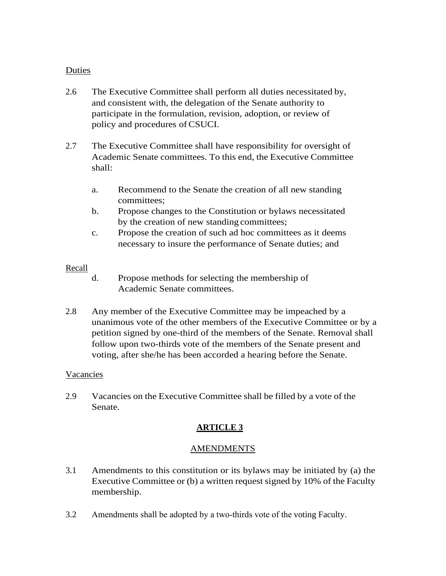## Duties

- 2.6 The Executive Committee shall perform all duties necessitated by, and consistent with, the delegation of the Senate authority to participate in the formulation, revision, adoption, or review of policy and procedures ofCSUCI.
- 2.7 The Executive Committee shall have responsibility for oversight of Academic Senate committees. To this end, the Executive Committee shall:
	- a. Recommend to the Senate the creation of all new standing committees;
	- b. Propose changes to the Constitution or bylaws necessitated by the creation of new standing committees;
	- c. Propose the creation of such ad hoc committees as it deems necessary to insure the performance of Senate duties; and

### Recall

- d. Propose methods for selecting the membership of Academic Senate committees.
- 2.8 Any member of the Executive Committee may be impeached by a unanimous vote of the other members of the Executive Committee or by a petition signed by one-third of the members of the Senate. Removal shall follow upon two-thirds vote of the members of the Senate present and voting, after she/he has been accorded a hearing before the Senate.

#### Vacancies

2.9 Vacancies on the Executive Committee shall be filled by a vote of the Senate.

# **ARTICLE 3**

### AMENDMENTS

- 3.1 Amendments to this constitution or its bylaws may be initiated by (a) the Executive Committee or (b) a written request signed by 10% of the Faculty membership.
- 3.2 Amendments shall be adopted by a two-thirds vote of the voting Faculty.